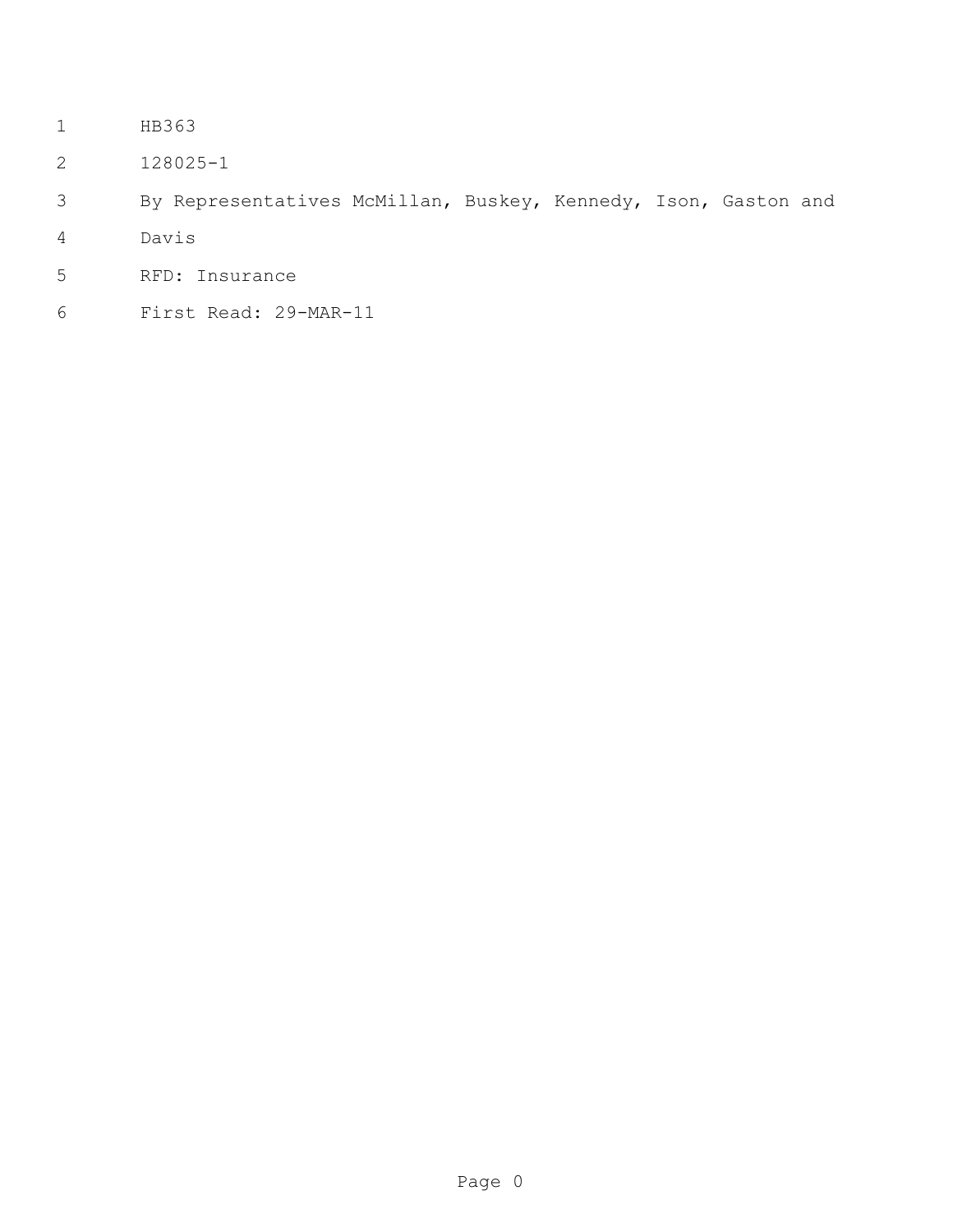- HB363
- 128025-1
- By Representatives McMillan, Buskey, Kennedy, Ison, Gaston and
- Davis
- RFD: Insurance
- First Read: 29-MAR-11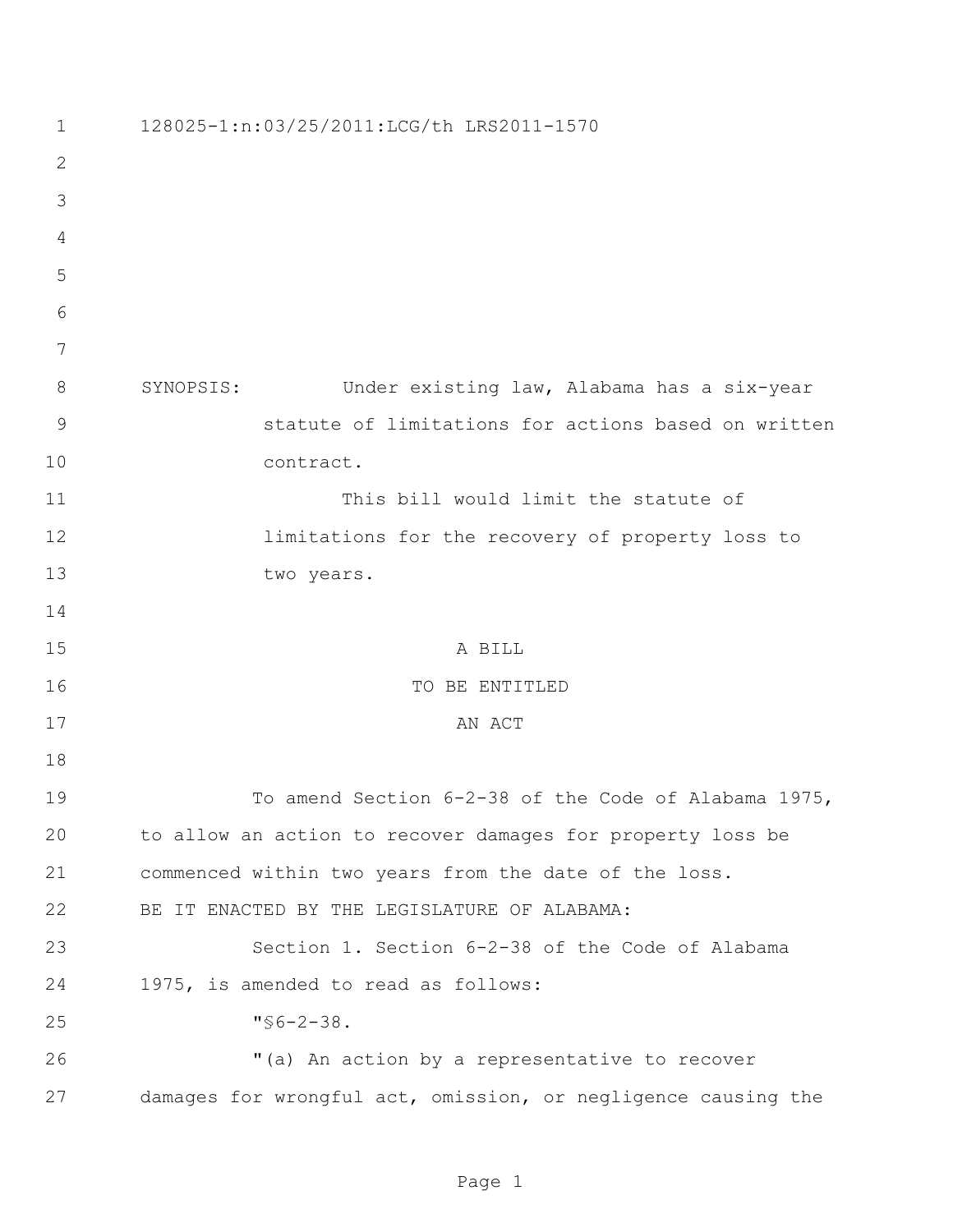| 1            | 128025-1:n:03/25/2011:LCG/th LRS2011-1570                     |
|--------------|---------------------------------------------------------------|
| $\mathbf{2}$ |                                                               |
| 3            |                                                               |
| 4            |                                                               |
| 5            |                                                               |
| 6            |                                                               |
| 7            |                                                               |
| 8            | SYNOPSIS:<br>Under existing law, Alabama has a six-year       |
| 9            | statute of limitations for actions based on written           |
| 10           | contract.                                                     |
| 11           | This bill would limit the statute of                          |
| 12           | limitations for the recovery of property loss to              |
| 13           | two years.                                                    |
| 14           |                                                               |
| 15           | A BILL                                                        |
| 16           | TO BE ENTITLED                                                |
| 17           | AN ACT                                                        |
| 18           |                                                               |
| 19           | To amend Section 6-2-38 of the Code of Alabama 1975,          |
| 20           | to allow an action to recover damages for property loss be    |
| 21           | commenced within two years from the date of the loss.         |
| 22           | BE IT ENACTED BY THE LEGISLATURE OF ALABAMA:                  |
| 23           | Section 1. Section 6-2-38 of the Code of Alabama              |
| 24           | 1975, is amended to read as follows:                          |
| 25           | $\sqrt{56-2-38}$ .                                            |
| 26           | "(a) An action by a representative to recover                 |
| 27           | damages for wrongful act, omission, or negligence causing the |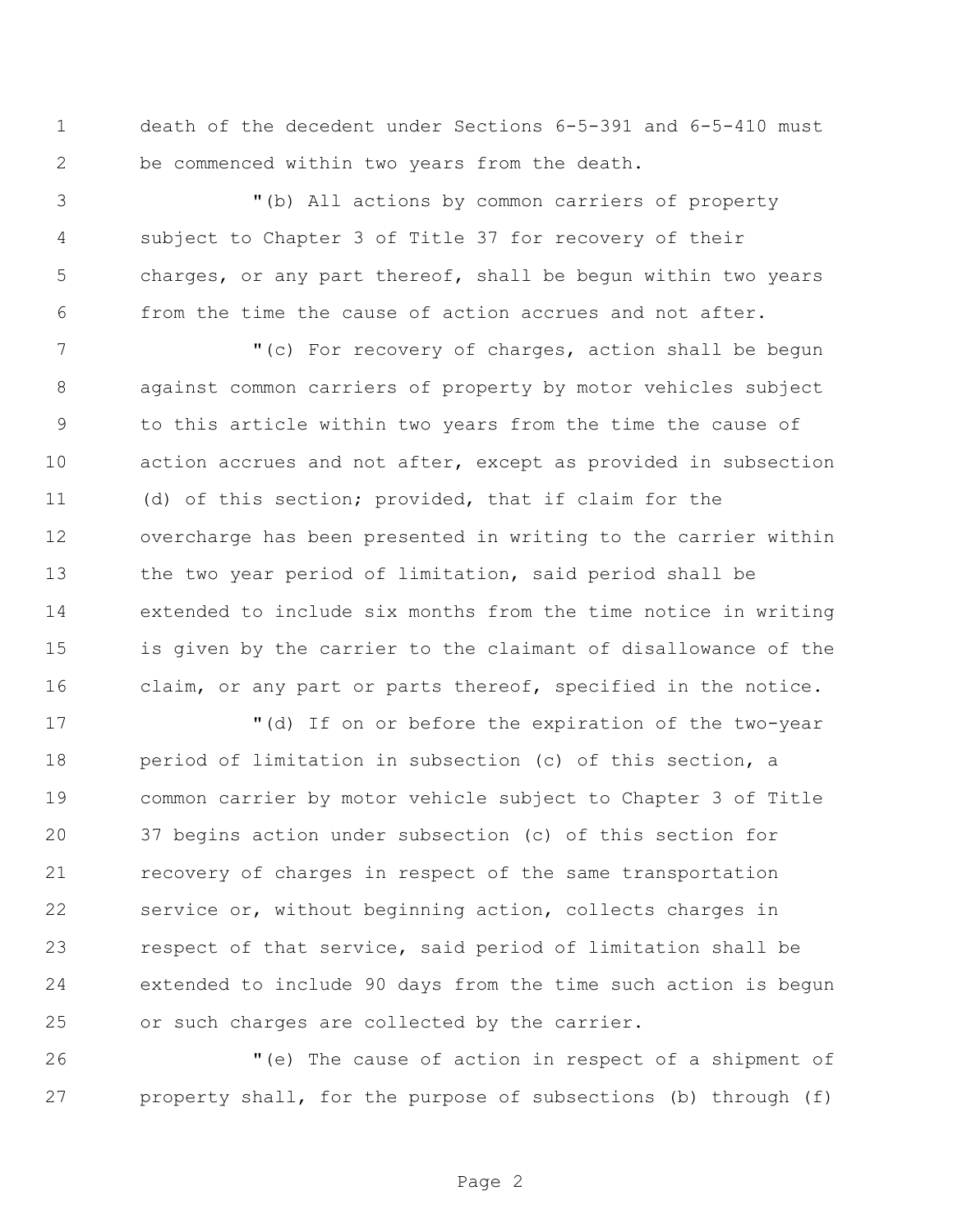death of the decedent under Sections 6-5-391 and 6-5-410 must be commenced within two years from the death.

 "(b) All actions by common carriers of property subject to Chapter 3 of Title 37 for recovery of their charges, or any part thereof, shall be begun within two years from the time the cause of action accrues and not after.

7 "(c) For recovery of charges, action shall be begun against common carriers of property by motor vehicles subject to this article within two years from the time the cause of action accrues and not after, except as provided in subsection (d) of this section; provided, that if claim for the overcharge has been presented in writing to the carrier within the two year period of limitation, said period shall be extended to include six months from the time notice in writing is given by the carrier to the claimant of disallowance of the claim, or any part or parts thereof, specified in the notice.

 "(d) If on or before the expiration of the two-year period of limitation in subsection (c) of this section, a common carrier by motor vehicle subject to Chapter 3 of Title 37 begins action under subsection (c) of this section for recovery of charges in respect of the same transportation service or, without beginning action, collects charges in respect of that service, said period of limitation shall be extended to include 90 days from the time such action is begun or such charges are collected by the carrier.

 "(e) The cause of action in respect of a shipment of property shall, for the purpose of subsections (b) through (f)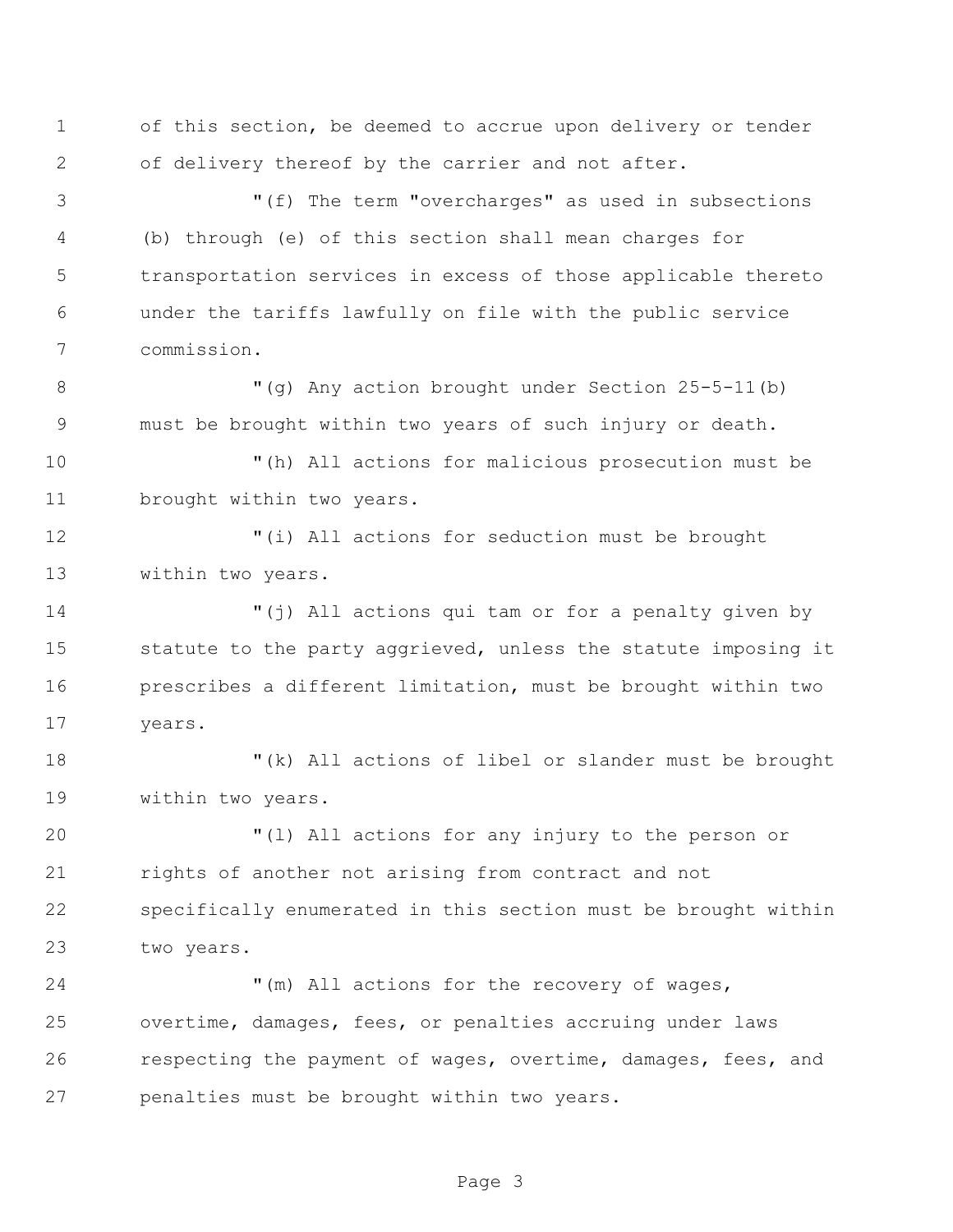of this section, be deemed to accrue upon delivery or tender of delivery thereof by the carrier and not after.

 "(f) The term "overcharges" as used in subsections (b) through (e) of this section shall mean charges for transportation services in excess of those applicable thereto under the tariffs lawfully on file with the public service commission.

8 "(q) Any action brought under Section 25-5-11(b) must be brought within two years of such injury or death.

 "(h) All actions for malicious prosecution must be brought within two years.

 "(i) All actions for seduction must be brought within two years.

 "(j) All actions qui tam or for a penalty given by statute to the party aggrieved, unless the statute imposing it prescribes a different limitation, must be brought within two years.

 "(k) All actions of libel or slander must be brought within two years.

 "(l) All actions for any injury to the person or rights of another not arising from contract and not specifically enumerated in this section must be brought within two years.

24 "(m) All actions for the recovery of wages, overtime, damages, fees, or penalties accruing under laws respecting the payment of wages, overtime, damages, fees, and penalties must be brought within two years.

Page 3